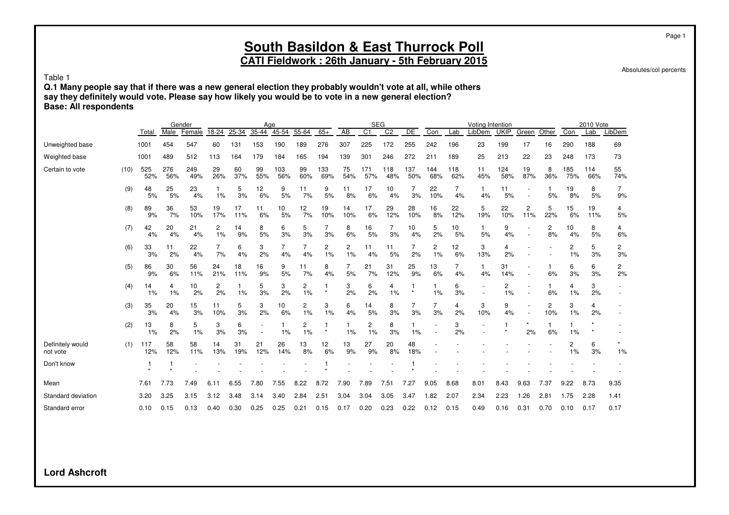**CATI Fieldwork : 26th January - 5th February 2015**

Absolutes/col percents

Page 1

Table 1

**Q.1 Many people say that if there was a new general election they probably wouldn't vote at all, while others say they definitely would vote. Please say how likely you would be to vote in a new general election? Base: All respondents**

|                              |      |            |            | Gender     |           |           |                | Age        |           |              |                 | <b>SEG</b>     |                |            |            |            | Voting Intention   |             |           |          |            | 2010 Vote  |                      |
|------------------------------|------|------------|------------|------------|-----------|-----------|----------------|------------|-----------|--------------|-----------------|----------------|----------------|------------|------------|------------|--------------------|-------------|-----------|----------|------------|------------|----------------------|
|                              |      | Total      | Male       | Female     | 18-24     | $25 - 34$ | $35 - 44$      | $45 - 54$  | 55-64     | $65+$        | $\overline{AB}$ | C <sub>1</sub> | C <sub>2</sub> | DE         | Con        | Lab        | LibDem             | <b>UKIP</b> | Green     | Other    | Con        | Lab        | LibDem               |
| Unweighted base              |      | 1001       | 454        | 547        | 60        | 131       | 153            | 190        | 189       | 276          | 307             | 225            | 172            | 255        | 242        | 196        | 23                 | 199         | 17        | 16       | 290        | 188        | 69                   |
| Weighted base                |      | 1001       | 489        | 512        | 113       | 164       | 179            | 184        | 165       | 194          | 139             | 301            | 246            | 272        | 211        | 189        | 25                 | 213         | 22        | 23       | 248        | 173        | 73                   |
| Certain to vote              | (10) | 525<br>52% | 276<br>56% | 249<br>49% | 29<br>26% | 60<br>37% | 99<br>55%      | 103<br>56% | 99<br>60% | 133<br>69%   | 75<br>54%       | 171<br>57%     | 118<br>48%     | 137<br>50% | 144<br>68% | 118<br>62% | 11<br>45%          | 124<br>58%  | 19<br>87% | 8<br>36% | 185<br>75% | 114<br>66% | 55<br>74%            |
|                              | (9)  | 48<br>5%   | 25<br>5%   | 23<br>4%   | 1%        | 5<br>3%   | 12<br>6%       | 9<br>5%    | 11<br>7%  | 9<br>5%      | 11<br>8%        | 17<br>6%       | 10<br>4%       | 7<br>3%    | 22<br>10%  | 7<br>4%    | 1<br>4%            | 11<br>5%    |           | 5%       | 19<br>8%   | 8<br>5%    | $\overline{7}$<br>9% |
|                              | (8)  | 89<br>9%   | 36<br>7%   | 53<br>10%  | 19<br>17% | 17<br>11% | 11<br>6%       | 10<br>5%   | 12<br>7%  | 19<br>10%    | 14<br>10%       | 17<br>6%       | 29<br>12%      | 28<br>10%  | 16<br>8%   | 22<br>12%  | 5<br>19%           | 22<br>10%   | 2<br>11%  | 5<br>22% | 15<br>6%   | 19<br>11%  | 4<br>5%              |
|                              | (7)  | 42<br>4%   | 20<br>4%   | 21<br>4%   | 2<br>1%   | 14<br>9%  | 8<br>5%        | 6<br>3%    | 5<br>3%   | 7<br>3%      | 8<br>6%         | 16<br>5%       | 7<br>3%        | 10<br>4%   | 5<br>2%    | 10<br>5%   | 1.<br>5%           | 9<br>4%     |           | 2<br>8%  | 10<br>4%   | 8<br>5%    | 4<br>6%              |
|                              | (6)  | 33<br>3%   | 11<br>2%   | 22<br>4%   | 7%        | 6<br>4%   | 3<br>2%        | 4%         | 7<br>4%   | 2<br>1%      | 2<br>1%         | 11<br>4%       | 11<br>5%       | 2%         | 2<br>1%    | 12<br>6%   | 3<br>13%           | 4<br>2%     |           |          | 2<br>1%    | 5<br>3%    | 2<br>3%              |
|                              | (5)  | 86<br>9%   | 30<br>6%   | 56<br>11%  | 24<br>21% | 18<br>11% | 16<br>9%       | 9<br>5%    | 11<br>7%  | 8<br>4%      | 7<br>5%         | 21<br>7%       | 31<br>12%      | 25<br>9%   | 13<br>6%   | 4%         | $\mathbf{1}$<br>4% | 31<br>14%   |           | 6%       | 6<br>3%    | 6<br>3%    | $\overline{c}$<br>2% |
|                              | (4)  | 14<br>1%   | 4<br>1%    | 10<br>2%   | 2<br>2%   | -1<br>1%  | 5<br>3%        | 3<br>2%    | 2<br>1%   | 1<br>$\star$ | 3<br>2%         | 6<br>2%        | 4<br>1%        | $\star$    | 1%         | 6<br>3%    |                    | 2<br>1%     |           | 6%       | 4<br>1%    | 3<br>2%    |                      |
|                              | (3)  | 35<br>3%   | 20<br>4%   | 15<br>3%   | 11<br>10% | 5<br>3%   | 3<br>2%        | 10<br>6%   | 2<br>1%   | 3<br>1%      | 6<br>4%         | 14<br>5%       | 8<br>3%        | 3%         | 3%         | 4<br>2%    | 3<br>10%           | 9<br>4%     |           | 2<br>10% | 3<br>1%    | 4<br>2%    |                      |
|                              | (2)  | 13<br>1%   | 8<br>2%    | 5<br>1%    | 3<br>3%   | 6<br>3%   | $\blacksquare$ | $1\%$      | 2<br>1%   | 1            | 1%              | 2<br>1%        | 8<br>3%        | 1%         |            | 3<br>2%    |                    |             | 2%        | 6%       | $1\%$      | $\star$    |                      |
| Definitely would<br>not vote | (1)  | 117<br>12% | 58<br>12%  | 58<br>11%  | 14<br>13% | 31<br>19% | 21<br>12%      | 26<br>14%  | 13<br>8%  | 12<br>6%     | 13<br>9%        | 27<br>9%       | 20<br>8%       | 48<br>18%  |            |            |                    |             |           |          | 2<br>1%    | 6<br>3%    | 1%                   |
| Don't know                   |      |            |            |            |           |           |                |            |           |              |                 |                |                |            |            |            |                    |             |           |          |            |            |                      |
| Mean                         |      | 7.61       | 7.73       | 7.49       | 6.11      | 6.55      | 7.80           | 7.55       | 8.22      | 8.72         | 7.90            | 7.89           | 7.51           | 7.27       | 9.05       | 8.68       | 8.01               | 8.43        | 9.63      | 7.37     | .22<br>9.  | 8.73       | 9.35                 |
| Standard deviation           |      | 3.20       | 3.25       | 3.15       | 3.12      | 3.48      | 3.14           | 3.40       | 2.84      | 2.51         | 3.04            | 3.04           | 3.05           | 3.47       | 1.82       | 2.07       | 2.34               | 2.23        | 1.26      | 2.81     | 1.75       | 2.28       | 1.41                 |
| Standard error               |      | 0.10       | 0.15       | 0.13       | 0.40      | 0.30      | 0.25           | 0.25       | 0.21      | 0.15         | 0.17            | 0.20           | 0.23           | 0.22       | 0.12       | 0.15       | 0.49               | 0.16        | 0.31      | 0.70     | 0.10       | 0.17       | 0.17                 |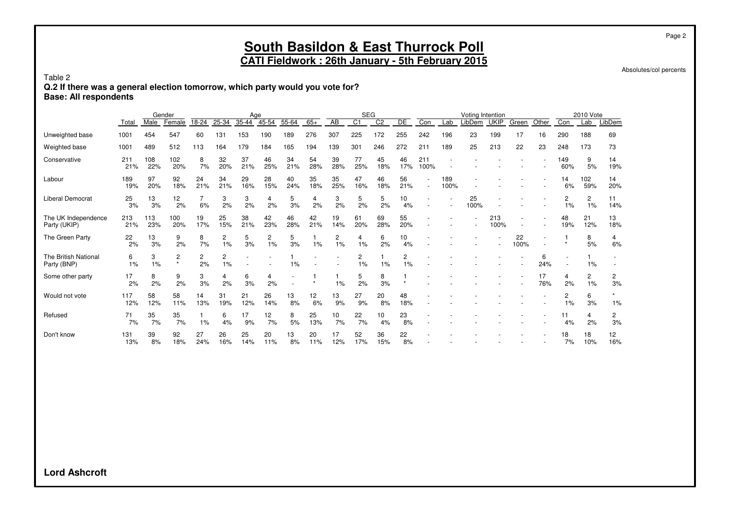Absolutes/col percents

Page 2

#### Table 2

**Q.2 If there was a general election tomorrow, which party would you vote for?**

**Base: All respondents**

|                                     |            |            | Gender       |           |                      | Age       |           |           |           |           | <b>SEG</b>     |                |           |             |                          | Voting Intention |             |            |           |            | 2010 Vote            |           |
|-------------------------------------|------------|------------|--------------|-----------|----------------------|-----------|-----------|-----------|-----------|-----------|----------------|----------------|-----------|-------------|--------------------------|------------------|-------------|------------|-----------|------------|----------------------|-----------|
|                                     | Total      | Male       | Female       | 18-24     | 25-34                | 35-44     | $45 - 54$ | 55-64     | $65+$     | AB        | C <sub>1</sub> | C <sub>2</sub> | DE        | Con         | Lab                      | LibDem           | <b>UKIP</b> | Green      | Other     | Con        | Lab                  | LibDem    |
| Unweighted base                     | 1001       | 454        | 547          | 60        | 131                  | 153       | 190       | 189       | 276       | 307       | 225            | 172            | 255       | 242         | 196                      | 23               | 199         | 17         | 16        | 290        | 188                  | 69        |
| Weighted base                       | 1001       | 489        | 512          | 113       | 164                  | 179       | 184       | 165       | 194       | 139       | 301            | 246            | 272       | 211         | 189                      | 25               | 213         | 22         | 23        | 248        | 173                  | 73        |
| Conservative                        | 211<br>21% | 108<br>22% | 102<br>20%   | 8<br>7%   | 32<br>20%            | 37<br>21% | 46<br>25% | 34<br>21% | 54<br>28% | 39<br>28% | 77<br>25%      | 45<br>18%      | 46<br>17% | 211<br>100% |                          |                  |             |            |           | 149<br>60% | 9<br>5%              | 14<br>19% |
| Labour                              | 189<br>19% | 97<br>20%  | 92<br>18%    | 24<br>21% | 34<br>21%            | 29<br>16% | 28<br>15% | 40<br>24% | 35<br>18% | 35<br>25% | 47<br>16%      | 46<br>18%      | 56<br>21% |             | 189<br>100%              |                  |             |            |           | 14<br>6%   | 102<br>59%           | 14<br>20% |
| <b>Liberal Democrat</b>             | 25<br>3%   | 13<br>3%   | 12<br>2%     | 6%        | 3<br>2%              | 3<br>2%   | 4<br>2%   | 5<br>3%   | 4<br>2%   | 3<br>2%   | 5<br>2%        | 5<br>2%        | 10<br>4%  |             | $\overline{\phantom{a}}$ | 25<br>100%       |             |            |           | 2<br>1%    | $\overline{2}$<br>1% | 11<br>14% |
| The UK Independence<br>Party (UKIP) | 213<br>21% | 113<br>23% | 100<br>20%   | 19<br>17% | 25<br>15%            | 38<br>21% | 42<br>23% | 46<br>28% | 42<br>21% | 19<br>14% | 61<br>20%      | 69<br>28%      | 55<br>20% |             |                          |                  | 213<br>100% |            |           | 48<br>19%  | 21<br>12%            | 13<br>18% |
| The Green Party                     | 22<br>2%   | 13<br>3%   | 9<br>2%      | 8<br>7%   | 2<br>1%              | 5<br>3%   | 2<br>1%   | 5<br>3%   | 1%        | 2<br>1%   | 4<br>1%        | 6<br>2%        | 10<br>4%  |             |                          |                  |             | 22<br>100% |           |            | 8<br>5%              | 4<br>6%   |
| The British National<br>Party (BNP) | 6<br>1%    | 3<br>1%    | 2<br>$\star$ | 2<br>2%   | $\overline{c}$<br>1% |           |           | 1%        |           |           | 2<br>1%        | 1%             | 2<br>1%   |             |                          |                  |             |            | 6<br>24%  |            | 1%                   |           |
| Some other party                    | 17<br>2%   | 8<br>2%    | 9<br>2%      | 3<br>3%   | 4<br>2%              | 6<br>3%   | 4<br>2%   |           |           | 1%        | 5<br>2%        | 8<br>3%        |           |             |                          |                  |             |            | 17<br>76% | 4<br>2%    | 2<br>1%              | 2<br>3%   |
| Would not vote                      | 117<br>12% | 58<br>12%  | 58<br>11%    | 14<br>13% | 31<br>19%            | 21<br>12% | 26<br>14% | 13<br>8%  | 12<br>6%  | 13<br>9%  | 27<br>9%       | 20<br>8%       | 48<br>18% |             |                          |                  |             |            |           | 2<br>$1\%$ | 6<br>3%              | 1%        |
| Refused                             | 71<br>7%   | 35<br>7%   | 35<br>7%     | 1%        | 6<br>4%              | 17<br>9%  | 12<br>7%  | 8<br>5%   | 25<br>13% | 10<br>7%  | 22<br>7%       | 10<br>4%       | 23<br>8%  |             |                          |                  |             |            |           | 11<br>4%   | 4<br>2%              | 2<br>3%   |
| Don't know                          | 131<br>13% | 39<br>8%   | 92<br>18%    | 27<br>24% | 26<br>16%            | 25<br>14% | 20<br>11% | 13<br>8%  | 20<br>11% | 17<br>12% | 52<br>17%      | 36<br>15%      | 22<br>8%  |             |                          |                  |             |            |           | 18<br>7%   | 18<br>10%            | 12<br>16% |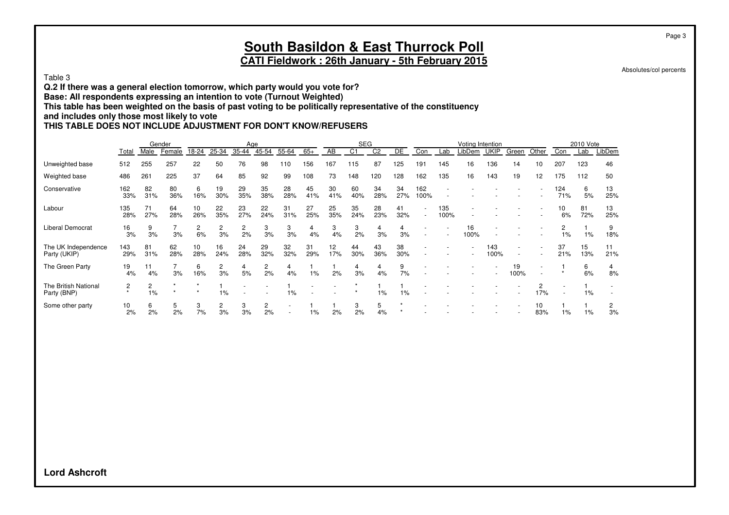#### Page 3

### **South Basildon & East Thurrock Poll CATI Fieldwork : 26th January - 5th February 2015**

Absolutes/col percents

Table 3

**Q.2 If there was a general election tomorrow, which party would you vote for?**

**Base: All respondents expressing an intention to vote (Turnout Weighted)**

**This table has been weighted on the basis of past voting to be politically representative of the constituency**

**and includes only those most likely to vote**

### **THIS TABLE DOES NOT INCLUDE ADJUSTMENT FOR DON'T KNOW/REFUSERS**

|                                     |            |            | Gender    |                      |                    | Age                  |                      |           |           |           | <b>SEG</b>     |                |           |                          |             | Voting Intention |             |            |           |            | 2010 Vote |           |
|-------------------------------------|------------|------------|-----------|----------------------|--------------------|----------------------|----------------------|-----------|-----------|-----------|----------------|----------------|-----------|--------------------------|-------------|------------------|-------------|------------|-----------|------------|-----------|-----------|
|                                     | Total      | Male       | Female    | 18-24                | 25-34              | 35-44                | 45-54                | 55-64     | $65+$     | AB        | C <sub>1</sub> | C <sub>2</sub> | DE        | Con                      | Lab         | LibDem           | <b>UKIP</b> | Green      | Other     | Con        | Lab       | LibDem    |
| Unweighted base                     | 512        | 255        | 257       | 22                   | 50                 | 76                   | 98                   | 110       | 156       | 167       | 115            | 87             | 125       | 191                      | 145         | 16               | 136         | 14         | ۱0        | 207        | 123       | 46        |
| Weighted base                       | 486        | 261        | 225       | 37                   | 64                 | 85                   | 92                   | 99        | 108       | 73        | 148            | 120            | 128       | 162                      | 135         | 16               | 143         | 19         | 12        | 175        | 112       | 50        |
| Conservative                        | 162<br>33% | 82<br>31%  | 80<br>36% | 6<br>16%             | 19<br>30%          | 29<br>35%            | 35<br>38%            | 28<br>28% | 45<br>41% | 30<br>41% | 60<br>40%      | 34<br>28%      | 34<br>27% | 162<br>100%              |             |                  |             |            |           | 124<br>71% | 6<br>5%   | 13<br>25% |
| Labour                              | 135<br>28% | 71<br>27%  | 64<br>28% | 10<br>26%            | 22<br>35%          | 23<br>27%            | 22<br>24%            | 31<br>31% | 27<br>25% | 25<br>35% | 35<br>24%      | 28<br>23%      | 41<br>32% | $\sim$                   | 135<br>100% |                  |             |            |           | 10<br>6%   | 81<br>72% | 13<br>25% |
| <b>Liberal Democrat</b>             | 16<br>3%   | 9<br>3%    | 3%        | $\overline{2}$<br>6% | $\mathbf{2}$<br>3% | $\overline{c}$<br>2% | 3<br>3%              | 3<br>3%   | 4<br>4%   | 3<br>4%   | 3<br>2%        | 4<br>3%        | 4<br>3%   | $\overline{\phantom{a}}$ |             | 16<br>100%       |             |            |           | 2<br>1%    | 1%        | 9<br>18%  |
| The UK Independence<br>Party (UKIP) | 143<br>29% | 81<br>31%  | 62<br>28% | 10<br>28%            | 16<br>24%          | 24<br>28%            | 29<br>32%            | 32<br>32% | 31<br>29% | 12<br>17% | 44<br>30%      | 43<br>36%      | 38<br>30% |                          |             |                  | 143<br>100% |            |           | 37<br>21%  | 15<br>13% | 11<br>21% |
| The Green Party                     | 19<br>4%   | 11<br>4%   | 3%        | 6<br>16%             | $\mathbf{2}$<br>3% | 4<br>5%              | $\overline{2}$<br>2% | 4<br>4%   | 1%        | 2%        | 3%             | 4%             | 9<br>7%   |                          |             |                  |             | 19<br>100% |           |            | 6<br>6%   | 8%        |
| The British National<br>Party (BNP) | 2          | 2<br>$1\%$ |           | $\star$              | $1\%$              |                      |                      | $1\%$     |           |           |                | $1\%$          | $1\%$     |                          |             |                  |             |            | 2<br>17%  |            | 1%        |           |
| Some other party                    | 10<br>2%   | 6<br>2%    | 5<br>2%   | 3<br>7%              | 2<br>3%            | 3<br>3%              | $\overline{2}$<br>2% |           | 1%        | 2%        | 3<br>2%        | 5<br>4%        |           |                          |             |                  |             |            | 10<br>83% | $1\%$      | 1%        | 3%        |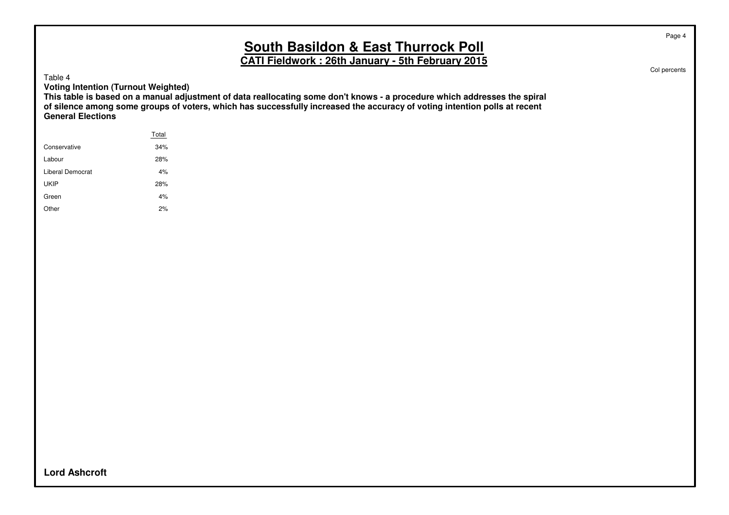**CATI Fieldwork : 26th January - 5th February 2015**

Table 4

**Voting Intention (Turnout Weighted)**

**This table is based on a manual adjustment of data reallocating some don't knows - a procedure which addresses the spiral of silence among some groups of voters, which has successfully increased the accuracy of voting intention polls at recent General Elections**

|                  | Total |
|------------------|-------|
| Conservative     | 34%   |
| Labour           | 28%   |
| Liberal Democrat | 4%    |
| <b>UKIP</b>      | 28%   |
| Green            | 4%    |
| Other            | 2%    |
|                  |       |

Col percents

Page 4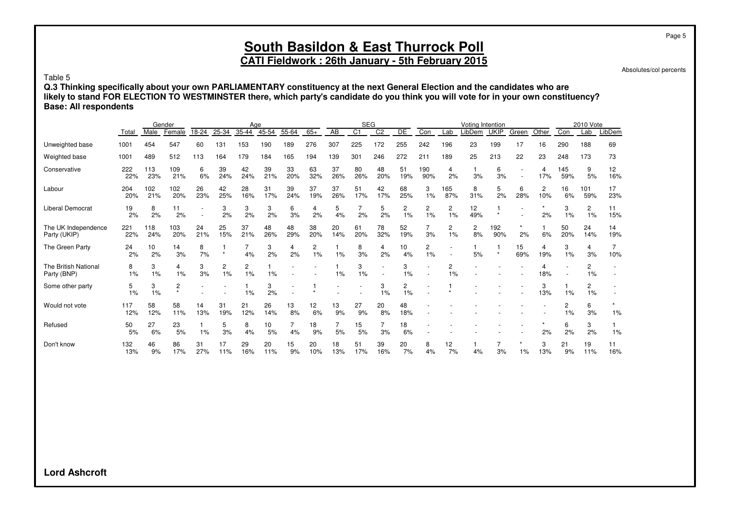## **CATI Fieldwork : 26th January - 5th February 2015**

Absolutes/col percents

Page 5

Table 5

**Q.3 Thinking specifically about your own PARLIAMENTARY constituency at the next General Election and the candidates who are likely to stand FOR ELECTION TO WESTMINSTER there, which party's candidate do you think you will vote for in your own constituency? Base: All respondents**

|                                     |            | Male       | Gender<br>Female          | 18-24     | 25-34                | Age<br>$35 - 44$ | $45 - 54$ | 55-64     | $65+$     | $\overline{AB}$ | <b>SEG</b><br>$\overline{C1}$ | $\overline{C2}$ | DE        | Con        | Lab                  | Voting Intention<br>LibDem | <b>UKIP</b> |           | Other    | Con        | 2010 Vote<br>Lab        | LibDem    |
|-------------------------------------|------------|------------|---------------------------|-----------|----------------------|------------------|-----------|-----------|-----------|-----------------|-------------------------------|-----------------|-----------|------------|----------------------|----------------------------|-------------|-----------|----------|------------|-------------------------|-----------|
|                                     | Total      |            |                           |           |                      |                  |           |           |           |                 |                               |                 |           |            |                      |                            |             | Green     |          |            |                         |           |
| Unweighted base                     | 1001       | 454        | 547                       | 60        | 131                  | 153              | 190       | 189       | 276       | 307             | 225                           | 172             | 255       | 242        | 196                  | 23                         | 199         | 17        | 16       | 290        | 188                     | 69        |
| Weighted base                       | 1001       | 489        | 512                       | 113       | 164                  | 179              | 184       | 165       | 194       | 139             | 301                           | 246             | 272       | 211        | 189                  | 25                         | 213         | 22        | 23       | 248        | 173                     | 73        |
| Conservative                        | 222<br>22% | 113<br>23% | 109<br>21%                | 6<br>6%   | 39<br>24%            | 42<br>24%        | 39<br>21% | 33<br>20% | 63<br>32% | 37<br>26%       | 80<br>26%                     | 48<br>20%       | 51<br>19% | 190<br>90% | 4<br>2%              | 3%                         | 6<br>3%     |           | 4<br>17% | 145<br>59% | 9<br>5%                 | 12<br>16% |
| Labour                              | 204<br>20% | 102<br>21% | 102<br>20%                | 26<br>23% | 42<br>25%            | 28<br>16%        | 31<br>17% | 39<br>24% | 37<br>19% | 37<br>26%       | 51<br>17%                     | 42<br>17%       | 68<br>25% | 3<br>1%    | 165<br>87%           | 8<br>31%                   | 5<br>2%     | 6<br>28%  | 2<br>10% | 16<br>6%   | 101<br>59%              | 17<br>23% |
| <b>Liberal Democrat</b>             | 19<br>2%   | 8<br>2%    | 11<br>2%                  |           | 3<br>2%              | 3<br>2%          | 3<br>2%   | 6<br>3%   | 4<br>2%   | 5<br>4%         | 2%                            | 5<br>2%         | 2<br>1%   | 2<br>1%    | 2<br>1%              | 12<br>49%                  |             |           | 2%       | 3<br>1%    | 2<br>1%                 | 11<br>15% |
| The UK Independence<br>Party (UKIP) | 221<br>22% | 118<br>24% | 103<br>20%                | 24<br>21% | 25<br>15%            | 37<br>21%        | 48<br>26% | 48<br>29% | 38<br>20% | 20<br>14%       | 61<br>20%                     | 78<br>32%       | 52<br>19% | 3%         | 2<br>1%              | 2<br>8%                    | 192<br>90%  | 2%        | 6%       | 50<br>20%  | 24<br>14%               | 14<br>19% |
| The Green Party                     | 24<br>2%   | 10<br>2%   | 14<br>3%                  | 8<br>7%   | $\star$              | 7<br>4%          | 3<br>2%   | 4<br>2%   | 2<br>1%   | 1%              | 8<br>3%                       | 4<br>2%         | 10<br>4%  | 2<br>1%    |                      | 5%                         | $\star$     | 15<br>69% | 4<br>19% | 3<br>1%    | 4<br>3%                 | 7<br>10%  |
| The British National<br>Party (BNP) | 8<br>1%    | 3<br>1%    | 4<br>1%                   | 3<br>3%   | $\overline{c}$<br>1% | 2<br>1%          | 1%        |           |           | 1%              | 3<br>1%                       |                 | 3<br>1%   |            | $\overline{2}$<br>1% |                            |             |           | 18%      |            | $\overline{c}$<br>$1\%$ |           |
| Some other party                    | 5<br>1%    | 3<br>1%    | $\overline{c}$<br>$\star$ |           |                      | 1%               | 3<br>2%   |           |           |                 |                               | 3<br>1%         | 2<br>1%   |            |                      |                            |             |           | 3<br>13% | 1%         | 2<br>1%                 |           |
| Would not vote                      | 117<br>12% | 58<br>12%  | 58<br>11%                 | 14<br>13% | 31<br>19%            | 21<br>12%        | 26<br>14% | 13<br>8%  | 12<br>6%  | 13<br>9%        | 27<br>9%                      | 20<br>8%        | 48<br>18% |            |                      |                            |             |           |          | 2<br>1%    | 6<br>3%                 | 1%        |
| Refused                             | 50<br>5%   | 27<br>6%   | 23<br>5%                  | 1%        | 5<br>3%              | 8<br>4%          | 10<br>5%  | 4%        | 18<br>9%  | 5%              | 15<br>5%                      | 3%              | 18<br>6%  |            |                      |                            |             |           | 2%       | 6<br>2%    | 3<br>2%                 | 1%        |
| Don't know                          | 132<br>13% | 46<br>9%   | 86<br>17%                 | 31<br>27% | 17<br>11%            | 29<br>16%        | 20<br>11% | 15<br>9%  | 20<br>10% | 18<br>13%       | 51<br>17%                     | 39<br>16%       | 20<br>7%  | 8<br>4%    | 12<br>7%             | 4%                         | 3%          | 1%        | 3<br>13% | 21<br>9%   | 19<br>11%               | 11<br>16% |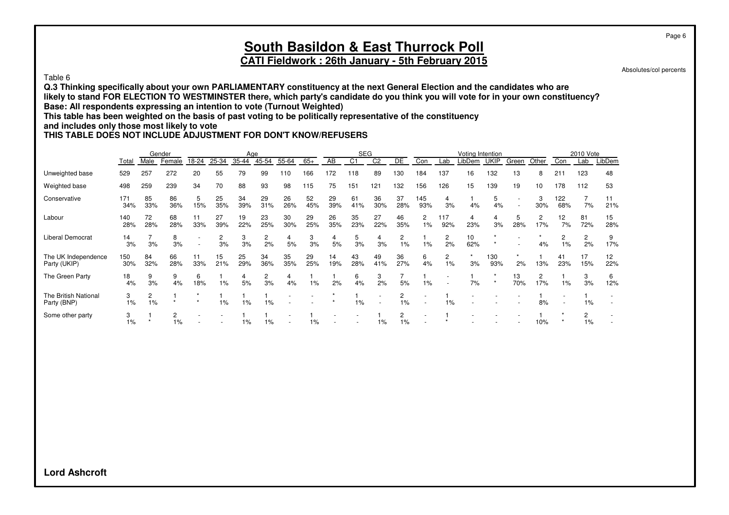#### Table 6

**Q.3 Thinking specifically about your own PARLIAMENTARY constituency at the next General Election and the candidates who are likely to stand FOR ELECTION TO WESTMINSTER there, which party's candidate do you think you will vote for in your own constituency? Base: All respondents expressing an intention to vote (Turnout Weighted)**

**This table has been weighted on the basis of past voting to be politically representative of the constituency**

### **and includes only those most likely to vote**

### **THIS TABLE DOES NOT INCLUDE ADJUSTMENT FOR DON'T KNOW/REFUSERS**

|                                     |            |           | Gender    |                          |           | Age       |                      |           |           |           | <b>SEG</b> |                |           |                      |                                                      | Voting Intention |             |           |          |            | 2010 Vote            |           |
|-------------------------------------|------------|-----------|-----------|--------------------------|-----------|-----------|----------------------|-----------|-----------|-----------|------------|----------------|-----------|----------------------|------------------------------------------------------|------------------|-------------|-----------|----------|------------|----------------------|-----------|
|                                     | Total      | Male      | Female    | 18-24                    | 25-34     | 35-44     | 45-54                | 55-64     | $65+$     | AB        | C1         | C <sub>2</sub> | DE        | Con                  | Lab                                                  | LibDem           | <b>UKIP</b> | Green     | Other    | Con        | Lab                  | LibDem    |
| Unweighted base                     | 529        | 257       | 272       | 20                       | 55        | 79        | 99                   | 110       | 166       | 172       | 118        | 89             | 130       | 184                  | 137                                                  | 16               | 132         | 13        | 8        | 211        | 123                  | 48        |
| Weighted base                       | 498        | 259       | 239       | 34                       | 70        | 88        | 93                   | 98        | 115       | 75        | 151        | 121            | 132       | 156                  | 126                                                  | 15               | 139         | 19        | 10       | 178        | 112                  | 53        |
| Conservative                        | 171<br>34% | 85<br>33% | 86<br>36% | 5<br>15%                 | 25<br>35% | 34<br>39% | 29<br>31%            | 26<br>26% | 52<br>45% | 29<br>39% | 61<br>41%  | 36<br>30%      | 37<br>28% | 145<br>93%           | 4<br>3%                                              | 4%               | 5<br>4%     |           | 3<br>30% | 122<br>68% | 7%                   | 21%       |
| Labour                              | 140<br>28% | 72<br>28% | 68<br>28% | 11<br>33%                | 27<br>39% | 19<br>22% | 23<br>25%            | 30<br>30% | 29<br>25% | 26<br>35% | 35<br>23%  | 27<br>22%      | 46<br>35% | $\overline{2}$<br>1% | 117<br>92%                                           | 4<br>23%         | 4<br>3%     | 5<br>28%  | 2<br>17% | 12<br>7%   | 81<br>72%            | 15<br>28% |
| Liberal Democrat                    | 14<br>3%   | 3%        | 8<br>3%   | $\overline{\phantom{a}}$ | 2<br>3%   | 3<br>3%   | 2<br>2%              | 4<br>5%   | 3<br>3%   | 4<br>5%   | 5<br>3%    | 4<br>3%        | 2<br>1%   | 1%                   | 2<br>2%                                              | 10<br>62%        |             |           | 4%       | 2<br>$1\%$ | $\overline{2}$<br>2% | 9<br>17%  |
| The UK Independence<br>Party (UKIP) | 150<br>30% | 84<br>32% | 66<br>28% | 11<br>33%                | 15<br>21% | 25<br>29% | 34<br>36%            | 35<br>35% | 29<br>25% | 14<br>19% | 43<br>28%  | 49<br>41%      | 36<br>27% | 6<br>4%              | 2<br>1%                                              | 3%               | 130<br>93%  | 2%        | 13%      | 41<br>23%  | 17<br>15%            | 12<br>22% |
| The Green Party                     | 18<br>4%   | 9<br>3%   | 9<br>4%   | 6<br>18%                 | $1\%$     | 4<br>5%   | $\overline{c}$<br>3% | 4<br>4%   | 1%        | 2%        | 6<br>4%    | 3<br>2%        | 5%        | 1%                   | $\overline{\phantom{a}}$<br>$\overline{\phantom{a}}$ | 7%               | $\star$     | 13<br>70% | 2<br>17% | $1\%$      | 3<br>3%              | 6<br>12%  |
| The British National<br>Party (BNP) | 3<br>$1\%$ | 2<br>1%   |           |                          | $1\%$     | $1\%$     | 1%                   |           |           |           | 1%         |                | 2<br>1%   |                      | 1%                                                   |                  |             |           | 8%       |            | 1%                   |           |
| Some other party                    | 1%         |           | $1\%$     |                          |           | 1%        | 1%                   |           | 1%        |           |            | 1%             | 1%        |                      |                                                      |                  |             |           | 10%      |            | $\overline{c}$<br>1% |           |

**Lord Ashcroft**

Page 6

Absolutes/col percents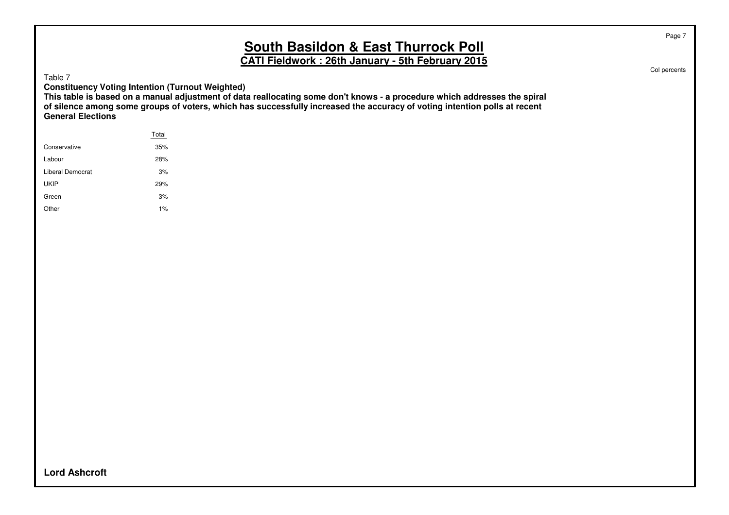**CATI Fieldwork : 26th January - 5th February 2015**

Table 7

**Constituency Voting Intention (Turnout Weighted)**

**This table is based on a manual adjustment of data reallocating some don't knows - a procedure which addresses the spiral of silence among some groups of voters, which has successfully increased the accuracy of voting intention polls at recent General Elections**

|                  | Total |
|------------------|-------|
| Conservative     | 35%   |
| Labour           | 28%   |
| Liberal Democrat | 3%    |
| <b>UKIP</b>      | 29%   |
| Green            | 3%    |
| Other            | 1%    |
|                  |       |

Col percents

Page 7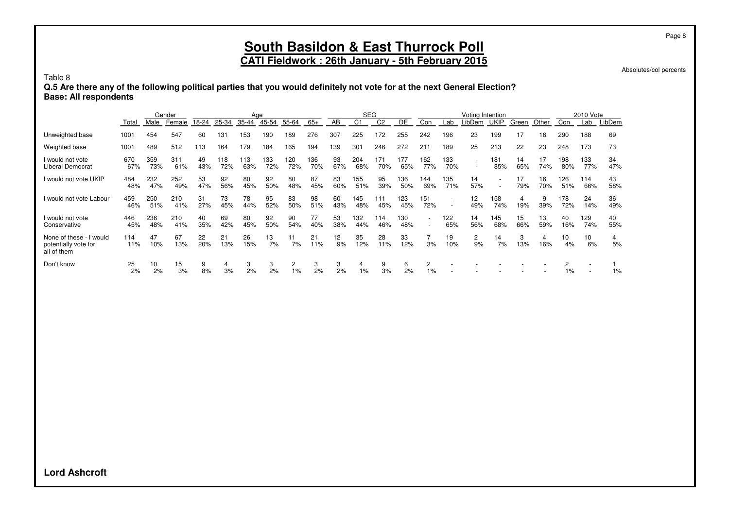### **CATI Fieldwork : 26th January - 5th February 2015**

Absolutes/col percents

Table 8

**Q.5 Are there any of the following political parties that you would definitely not vote for at the next General Election? Base: All respondents**

|                                                                |            |            | Gender     |           |            | Age        |            |                      |            |           | <b>SEG</b>     |            |            |                          |            | Voting Intention         |             |           |           |            | 2010 Vote  |           |
|----------------------------------------------------------------|------------|------------|------------|-----------|------------|------------|------------|----------------------|------------|-----------|----------------|------------|------------|--------------------------|------------|--------------------------|-------------|-----------|-----------|------------|------------|-----------|
|                                                                | Total      | Male       | Female     | 18-24     | 25-34      | 35-44      | 45-54      | 55-64                | $65+$      | AB        | C <sub>1</sub> | C2         | DE         | Con                      | Lab        | _ibDem                   | <b>UKIP</b> | Green     | Other     | Con        | Lab        | LibDem    |
| Unweighted base                                                | 1001       | 454        | 547        | 60        | 131        | 153        | 190        | 189                  | 276        | 307       | 225            | 172        | 255        | 242                      | 196        | 23                       | 199         | 17        | 16        | 290        | 188        | 69        |
| Weighted base                                                  | 1001       | 489        | 512        | 113       | 164        | 179        | 184        | 165                  | 194        | 139       | 301            | 246        | 272        | 211                      | 189        | 25                       | 213         | 22        | 23        | 248        | 173        | 73        |
| I would not vote<br><b>Liberal Democrat</b>                    | 670<br>67% | 359<br>73% | 311<br>61% | 49<br>43% | 118<br>72% | 113<br>63% | 133<br>72% | 120<br>72%           | 136<br>70% | 93<br>67% | 204<br>68%     | 171<br>70% | 177<br>65% | 162<br>77%               | 133<br>70% | $\overline{\phantom{a}}$ | 181<br>85%  | 14<br>65% | 17<br>74% | 198<br>80% | 133<br>77% | 34<br>47% |
| I would not vote UKIP                                          | 484<br>48% | 232<br>47% | 252<br>49% | 53<br>47% | 92<br>56%  | 80<br>45%  | 92<br>50%  | 80<br>48%            | 87<br>45%  | 83<br>60% | 155<br>51%     | 95<br>39%  | 136<br>50% | 144<br>69%               | 135<br>71% | 14<br>57%                |             | 17<br>79% | 16<br>70% | 126<br>51% | 114<br>66% | 43<br>58% |
| I would not vote Labour                                        | 459<br>46% | 250<br>51% | 210<br>41% | 31<br>27% | 73<br>45%  | 78<br>44%  | 95<br>52%  | 83<br>50%            | 98<br>51%  | 60<br>43% | 145<br>48%     | 111<br>45% | 123<br>45% | 151<br>72%               |            | 12<br>49%                | 158<br>74%  | 4<br>19%  | 9<br>39%  | 178<br>72% | 24<br>14%  | 36<br>49% |
| I would not vote<br>Conservative                               | 446<br>45% | 236<br>48% | 210<br>41% | 40<br>35% | 69<br>42%  | 80<br>45%  | 92<br>50%  | 90<br>54%            | 77<br>40%  | 53<br>38% | 132<br>44%     | 114<br>46% | 130<br>48% | $\overline{\phantom{a}}$ | 122<br>65% | 14<br>56%                | 145<br>68%  | 15<br>66% | 13<br>59% | 40<br>16%  | 129<br>74% | 40<br>55% |
| None of these - I would<br>potentially vote for<br>all of them | 114<br>11% | 47<br>10%  | 67<br>13%  | 22<br>20% | 21<br>13%  | 26<br>15%  | 13<br>7%   | 11<br>7%             | 21<br>11%  | 12<br>9%  | 35<br>12%      | 28<br>11%  | 33<br>12%  | 3%                       | 19<br>10%  | $\overline{2}$<br>9%     | 14<br>7%    | 3<br>13%  | 4<br>16%  | 10<br>4%   | 10<br>6%   | 4<br>5%   |
| Don't know                                                     | 25<br>2%   | 10<br>2%   | 15<br>3%   | 9<br>8%   | 4<br>3%    | 3<br>2%    | 3<br>2%    | $\overline{c}$<br>1% | 3<br>2%    | 3<br>2%   | 4<br>$1\%$     | 9<br>3%    | 6<br>2%    | $\overline{c}$<br>1%     |            |                          |             |           |           | 2<br>1%    |            | $1\%$     |

**Lord Ashcroft**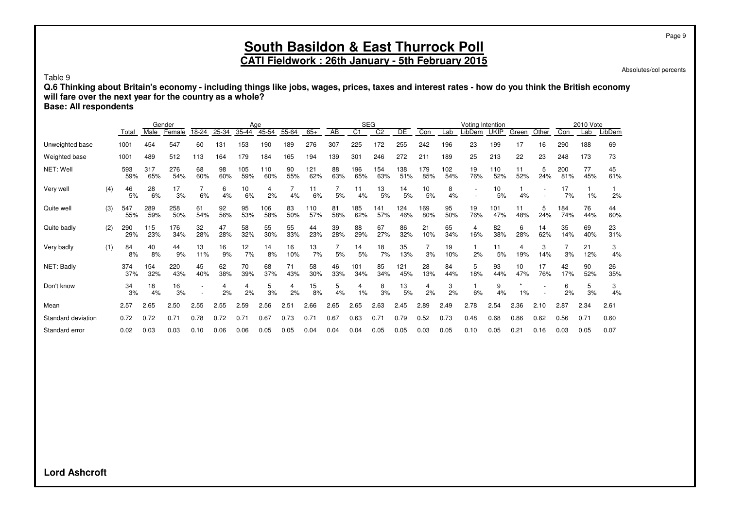Absolutes/col percents

Table 9

**Q.6 Thinking about Britain's economy - including things like jobs, wages, prices, taxes and interest rates - how do you think the British economy will fare over the next year for the country as a whole?**

**Base: All respondents**

|                    |     |            |            | Gender     |           |           | Age              |            |           |            |           |                | <b>SEG</b>     |            |            |            | Voting Intention |             |           |           |            | 2010 Vote |           |
|--------------------|-----|------------|------------|------------|-----------|-----------|------------------|------------|-----------|------------|-----------|----------------|----------------|------------|------------|------------|------------------|-------------|-----------|-----------|------------|-----------|-----------|
|                    |     | Total      | Male       | Female     | 18-24     | 25-34     | 35-44            | 45-54      | 55-64     | $65+$      | AB        | C <sub>1</sub> | C <sub>2</sub> | DE         | Con        | Lab        | LibDem           | <b>UKIP</b> | Green     | Other     | Con        | Lab       | LibDem    |
| Unweighted base    |     | 1001       | 454        | 547        | 60        | 131       | 153              | 190        | 189       | 276        | 307       | 225            | 172            | 255        | 242        | 196        | 23               | 199         | 17        | 16        | 290        | 188       | 69        |
| Weighted base      |     | 1001       | 489        | 512        | 113       | 164       | 179              | 184        | 165       | 194        | 139       | 301            | 246            | 272        | 211        | 189        | 25               | 213         | 22        | 23        | 248        | 173       | 73        |
| NET: Well          |     | 593<br>59% | 317<br>65% | 276<br>54% | 68<br>60% | 98<br>60% | 105<br>59%       | 110<br>60% | 90<br>55% | 121<br>62% | 88<br>63% | 196<br>65%     | 154<br>63%     | 138<br>51% | 179<br>85% | 102<br>54% | 19<br>76%        | 110<br>52%  | 11<br>52% | 5<br>24%  | 200<br>81% | 77<br>45% | 45<br>61% |
| Very well          | (4) | 46<br>5%   | 28<br>6%   | 17<br>3%   | 6%        | 6<br>4%   | 10<br>6%         | 4<br>2%    | 4%        | 11<br>6%   | 5%        | 11<br>4%       | 13<br>5%       | 14<br>5%   | 10<br>5%   | 8<br>4%    |                  | 10<br>5%    | 4%        |           | 17<br>7%   | 1%        | 2%        |
| Quite well         | (3) | 547<br>55% | 289<br>59% | 258<br>50% | 61<br>54% | 92<br>56% | 95<br>53%        | 106<br>58% | 83<br>50% | 110<br>57% | 81<br>58% | 185<br>62%     | 141<br>57%     | 124<br>46% | 169<br>80% | 95<br>50%  | 19<br>76%        | 101<br>47%  | 11<br>48% | 5<br>24%  | 184<br>74% | 76<br>44% | 44<br>60% |
| Quite badly        | (2) | 290<br>29% | 115<br>23% | 176<br>34% | 32<br>28% | 47<br>28% | 58<br>32%        | 55<br>30%  | 55<br>33% | 44<br>23%  | 39<br>28% | 88<br>29%      | 67<br>27%      | 86<br>32%  | 21<br>10%  | 65<br>34%  | 4<br>16%         | 82<br>38%   | 6<br>28%  | 14<br>62% | 35<br>14%  | 69<br>40% | 23<br>31% |
| Very badly         | (1) | 84<br>8%   | 40<br>8%   | 44<br>9%   | 13<br>11% | 16<br>9%  | 12<br>7%         | 14<br>8%   | 16<br>10% | 13<br>7%   | 5%        | 14<br>5%       | 18<br>7%       | 35<br>13%  | 3%         | 19<br>10%  | 2%               | 11<br>5%    | 4<br>19%  | 3<br>14%  | 3%         | 21<br>12% | 3<br>4%   |
| NET: Badly         |     | 374<br>37% | 154<br>32% | 220<br>43% | 45<br>40% | 62<br>38% | 70<br>39%        | 68<br>37%  | 71<br>43% | 58<br>30%  | 46<br>33% | 101<br>34%     | 85<br>34%      | 121<br>45% | 28<br>13%  | 84<br>44%  | 5<br>18%         | 93<br>44%   | 10<br>47% | 17<br>76% | 42<br>17%  | 90<br>52% | 26<br>35% |
| Don't know         |     | 34<br>3%   | 18<br>4%   | 16<br>3%   |           | 2%        | 4<br>2%          | 5<br>3%    | 4<br>2%   | 15<br>8%   | 5<br>4%   | 4<br>1%        | 8<br>3%        | 13<br>5%   | 4<br>2%    | 3<br>2%    | 6%               | 9<br>4%     | 1%        |           | 6<br>2%    | 5<br>3%   | 3<br>4%   |
| Mean               |     | 2.57       | 2.65       | 2.50       | 2.55      | 2.55      | 2.59             | 2.56       | 2.51      | 2.66       | 2.65      | 2.65           | 2.63           | 2.45       | 2.89       | 2.49       | 2.78             | 2.54        | 2.36      | 2.10      | 2.87       | 2.34      | 2.61      |
| Standard deviation |     | 0.72       | 0.72       | 0.71       | 0.78      | 0.72      | 0.7 <sup>2</sup> | 0.67       | 0.73      | 0.71       | 0.67      | 0.63           | 0.71           | 0.79       | 0.52       | 0.73       | 0.48             | 0.68        | 0.86      | 0.62      | 0.56       | 0.71      | 0.60      |
| Standard error     |     | 0.02       | 0.03       | 0.03       | 0.10      | 0.06      | 0.06             | 0.05       | 0.05      | 0.04       | 0.04      | 0.04           | 0.05           | 0.05       | 0.03       | 0.05       | 0.10             | 0.05        | 0.21      | 0.16      | 0.03       | 0.05      | 0.07      |

**Lord Ashcroft**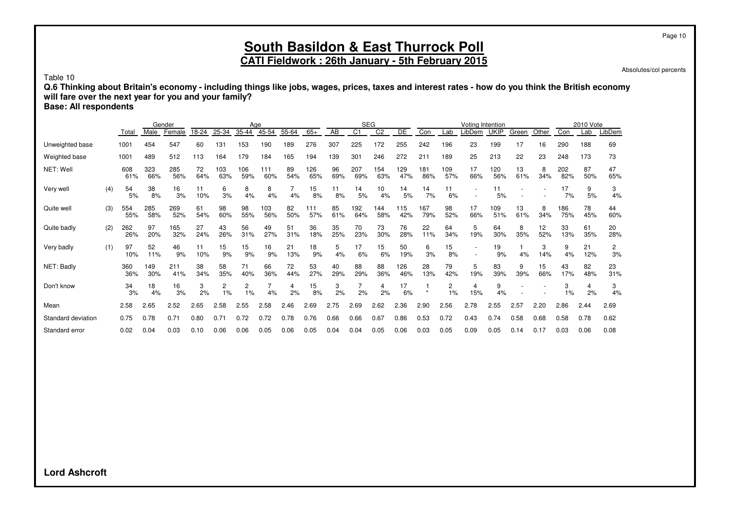Absolutes/col percents

Table 10

**Q.6 Thinking about Britain's economy - including things like jobs, wages, prices, taxes and interest rates - how do you think the British economy will fare over the next year for you and your family?**

**Base: All respondents**

|                    |     |            |            | Gender     |           |            | Age        |            |           |            |           |                | <b>SEG</b>     |            |            |            | Voting Intention |             |           |           |            | 2010 Vote |           |
|--------------------|-----|------------|------------|------------|-----------|------------|------------|------------|-----------|------------|-----------|----------------|----------------|------------|------------|------------|------------------|-------------|-----------|-----------|------------|-----------|-----------|
|                    |     | Total      | Male       | Female     | 18-24     | 25-34      | 35-44      | 45-54      | 55-64     | $65+$      | AB        | C <sub>1</sub> | C <sub>2</sub> | DE         | Con        | Lab        | LibDem           | <b>UKIP</b> | Green     | Other     | Con        | Lab       | LibDem    |
| Unweighted base    |     | 1001       | 454        | 547        | 60        | 31         | 153        | 190        | 189       | 276        | 307       | 225            | 172            | 255        | 242        | 196        | 23               | 199         | 17        | 16        | 290        | 188       | 69        |
| Weighted base      |     | 1001       | 489        | 512        | 113       | 164        | 179        | 184        | 165       | 194        | 139       | 301            | 246            | 272        | 211        | 189        | 25               | 213         | 22        | 23        | 248        | 173       | 73        |
| NET: Well          |     | 608<br>61% | 323<br>66% | 285<br>56% | 72<br>64% | 103<br>63% | 106<br>59% | 111<br>60% | 89<br>54% | 126<br>65% | 96<br>69% | 207<br>69%     | 154<br>63%     | 129<br>47% | 181<br>86% | 109<br>57% | 17<br>66%        | 120<br>56%  | 13<br>61% | 8<br>34%  | 202<br>82% | 87<br>50% | 47<br>65% |
| Very well          | (4) | 54<br>5%   | 38<br>8%   | 16<br>3%   | 11<br>10% | 6<br>3%    | 8<br>4%    | 8<br>4%    | 4%        | 15<br>8%   | 11<br>8%  | 14<br>5%       | 10<br>4%       | 14<br>5%   | 14<br>7%   | 11<br>6%   |                  | 5%          |           |           | 17<br>7%   | 9<br>5%   | 3<br>4%   |
| Quite well         | (3) | 554<br>55% | 285<br>58% | 269<br>52% | 61<br>54% | 98<br>60%  | 98<br>55%  | 103<br>56% | 82<br>50% | 111<br>57% | 85<br>61% | 192<br>64%     | 144<br>58%     | 115<br>42% | 167<br>79% | 98<br>52%  | 17<br>66%        | 109<br>51%  | 13<br>61% | 8<br>34%  | 186<br>75% | 78<br>45% | 44<br>60% |
| Quite badly        | (2) | 262<br>26% | 97<br>20%  | 165<br>32% | 27<br>24% | 43<br>26%  | 56<br>31%  | 49<br>27%  | 51<br>31% | 36<br>18%  | 35<br>25% | 70<br>23%      | 73<br>30%      | 76<br>28%  | 22<br>11%  | 64<br>34%  | 5<br>19%         | 64<br>30%   | 8<br>35%  | 12<br>52% | 33<br>13%  | 61<br>35% | 20<br>28% |
| Very badly         | (1) | 97<br>10%  | 52<br>11%  | 46<br>9%   | 11<br>10% | 15<br>9%   | 15<br>9%   | 16<br>9%   | 21<br>13% | 18<br>9%   | 5<br>4%   | 17<br>6%       | 15<br>6%       | 50<br>19%  | 6<br>3%    | 15<br>8%   |                  | 19<br>9%    | 4%        | 3<br>14%  | 9<br>4%    | 21<br>12% | 2<br>3%   |
| NET: Badly         |     | 360<br>36% | 149<br>30% | 211<br>41% | 38<br>34% | 58<br>35%  | 71<br>40%  | 66<br>36%  | 72<br>44% | 53<br>27%  | 40<br>29% | 88<br>29%      | 88<br>36%      | 126<br>46% | 28<br>13%  | 79<br>42%  | 5<br>19%         | 83<br>39%   | 9<br>39%  | 15<br>66% | 43<br>17%  | 82<br>48% | 23<br>31% |
| Don't know         |     | 34<br>3%   | 18<br>4%   | 16<br>3%   | 3<br>2%   | 2<br>1%    | 2<br>1%    | 4%         | 2%        | 15<br>8%   | 3<br>2%   | 2%             | 4<br>2%        | 17<br>6%   | $\ddot{}$  | 2<br>1%    | 4<br>15%         | 9<br>4%     |           |           | 3<br>1%    | 4<br>2%   | 3<br>4%   |
| Mean               |     | 2.58       | 2.65       | 2.52       | 2.65      | 2.58       | 2.55       | 2.58       | 2.46      | 2.69       | 2.75      | 2.69           | 2.62           | 2.36       | 2.90       | 2.56       | 2.78             | 2.55        | 2.57      | 2.20      | 2.86       | 2.44      | 2.69      |
| Standard deviation |     | 0.75       | 0.78       | 0.71       | 0.80      | 0.71       | 0.72       | 0.72       | 0.78      | 0.76       | 0.66      | 0.66           | 0.67           | 0.86       | 0.53       | 0.72       | 0.43             | 0.74        | 0.58      | 0.68      | 0.58       | 0.78      | 0.62      |
| Standard error     |     | 0.02       | 0.04       | 0.03       | 0.10      | 0.06       | 0.06       | 0.05       | 0.06      | 0.05       | 0.04      | 0.04           | 0.05           | 0.06       | 0.03       | 0.05       | 0.09             | 0.05        | 0.14      | 0.17      | 0.03       | 0.06      | 0.08      |

**Lord Ashcroft**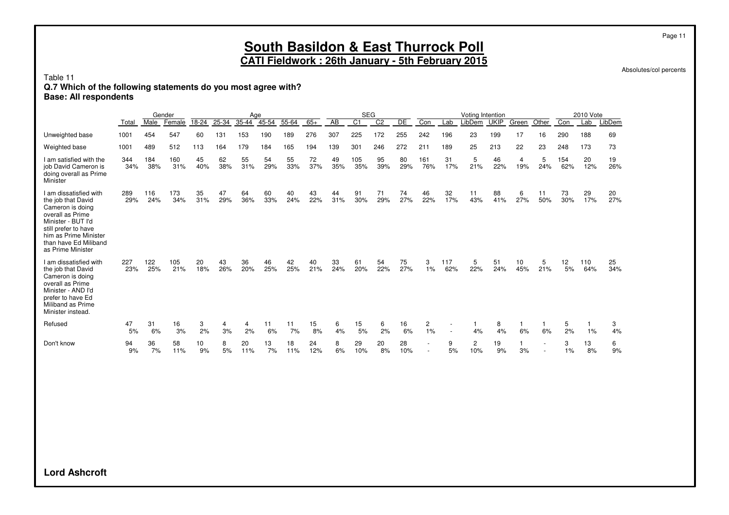Absolutes/col percents

#### Table 11

### **Q.7 Which of the following statements do you most agree with?**

**Base: All respondents**

|                                                                                                                                                                                                           |            |            | Gender     |           |           | Age       |           |           |           |                 | <b>SEG</b>      |                |           |                          |            | Voting Intention      |             |                       |           |            | 2010 Vote  |           |
|-----------------------------------------------------------------------------------------------------------------------------------------------------------------------------------------------------------|------------|------------|------------|-----------|-----------|-----------|-----------|-----------|-----------|-----------------|-----------------|----------------|-----------|--------------------------|------------|-----------------------|-------------|-----------------------|-----------|------------|------------|-----------|
|                                                                                                                                                                                                           | Total      | Male       | Female     | 18-24     | $25 - 34$ | $35 - 44$ | 45-54     | $55 - 64$ | $65+$     | $\overline{AB}$ | $\overline{C1}$ | C <sub>2</sub> | DE        | Con                      | Lab        | LibDem                | <b>UKIP</b> | Green                 | Other     | Con        | Lab        | LibDem    |
| Unweighted base                                                                                                                                                                                           | 1001       | 454        | 547        | 60        | 131       | 153       | 190       | 189       | 276       | 307             | 225             | 172            | 255       | 242                      | 196        | 23                    | 199         | 17                    | 16        | 290        | 188        | 69        |
| Weighted base                                                                                                                                                                                             | 1001       | 489        | 512        | 113       | 164       | 179       | 184       | 165       | 194       | 139             | 301             | 246            | 272       | 211                      | 189        | 25                    | 213         | 22                    | 23        | 248        | 173        | 73        |
| I am satisfied with the<br>job David Cameron is<br>doing overall as Prime<br>Minister                                                                                                                     | 344<br>34% | 184<br>38% | 160<br>31% | 45<br>40% | 62<br>38% | 55<br>31% | 54<br>29% | 55<br>33% | 72<br>37% | 49<br>35%       | 105<br>35%      | 95<br>39%      | 80<br>29% | 161<br>76%               | 31<br>17%  | 5<br>21%              | 46<br>22%   | $\overline{4}$<br>19% | 5<br>24%  | 154<br>62% | 20<br>12%  | 19<br>26% |
| I am dissatisfied with<br>the job that David<br>Cameron is doing<br>overall as Prime<br>Minister - BUT I'd<br>still prefer to have<br>him as Prime Minister<br>than have Ed Miliband<br>as Prime Minister | 289<br>29% | 116<br>24% | 173<br>34% | 35<br>31% | 47<br>29% | 64<br>36% | 60<br>33% | 40<br>24% | 43<br>22% | 44<br>31%       | 91<br>30%       | 71<br>29%      | 74<br>27% | 46<br>22%                | 32<br>17%  | 11<br>43%             | 88<br>41%   | 6<br>27%              | 11<br>50% | 73<br>30%  | 29<br>17%  | 20<br>27% |
| I am dissatisfied with<br>the job that David<br>Cameron is doing<br>overall as Prime<br>Minister - AND I'd<br>prefer to have Ed<br>Miliband as Prime<br>Minister instead.                                 | 227<br>23% | 122<br>25% | 105<br>21% | 20<br>18% | 43<br>26% | 36<br>20% | 46<br>25% | 42<br>25% | 40<br>21% | 33<br>24%       | 61<br>20%       | 54<br>22%      | 75<br>27% | 3<br>1%                  | 117<br>62% | 5<br>22%              | 51<br>24%   | 10<br>45%             | 5<br>21%  | 12<br>5%   | 110<br>64% | 25<br>34% |
| Refused                                                                                                                                                                                                   | 47<br>5%   | 31<br>6%   | 16<br>3%   | 3<br>2%   | 4<br>3%   | 4<br>2%   | 11<br>6%  | 11<br>7%  | 15<br>8%  | 6<br>4%         | 15<br>5%        | 6<br>2%        | 16<br>6%  | $\overline{2}$<br>1%     | $\sim$     | 4%                    | 8<br>4%     | 1<br>6%               | 6%        | 5<br>2%    | 1%         | 3<br>4%   |
| Don't know                                                                                                                                                                                                | 94<br>9%   | 36<br>7%   | 58<br>11%  | 10<br>9%  | 8<br>5%   | 20<br>11% | 13<br>7%  | 18<br>11% | 24<br>12% | 8<br>6%         | 29<br>10%       | 20<br>8%       | 28<br>10% | $\overline{\phantom{a}}$ | 9<br>5%    | $\overline{2}$<br>10% | 19<br>9%    | $\mathbf{1}$<br>3%    | $\sim$    | 3<br>1%    | 13<br>8%   | 6<br>9%   |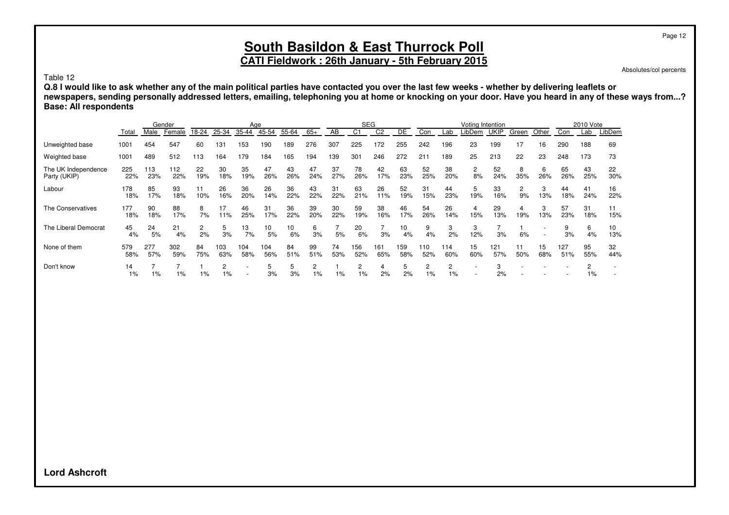#### Page 12

## **South Basildon & East Thurrock Poll**

## **CATI Fieldwork : 26th January - 5th February 2015**

Absolutes/col percents

Table 12

**Q.8 I would like to ask whether any of the main political parties have contacted you over the last few weeks - whether by delivering leaflets or newspapers, sending personally addressed letters, emailing, telephoning you at home or knocking on your door. Have you heard in any of these ways from...? Base: All respondents**

|                                     |             |            | Gender     |           |                      | Age        |            |           |           |           | <b>SEG</b> |                |            |            |            | Voting Intention |             |          |           |            | 2010 Vote |           |
|-------------------------------------|-------------|------------|------------|-----------|----------------------|------------|------------|-----------|-----------|-----------|------------|----------------|------------|------------|------------|------------------|-------------|----------|-----------|------------|-----------|-----------|
|                                     | Total       | Male       | Female     | 18-24     | 25-34                | 35-44      | 45-54      | 55-64     | $65+$     | AB        | C1         | C <sub>2</sub> | DE         | Con        | Lab        | .ibDem           | <b>UKIP</b> | Green    | Other     | Con        | Lab       | LibDem    |
| Unweighted base                     | 1001        | 454        | 547        | 60        | 131                  | 153        | 190        | 189       | 276       | 307       | 225        | 172            | 255        | 242        | 196        | 23               | 199         | 17       | 16        | 290        | 188       | 69        |
| Weighted base                       | 1001        | 489        | 512        | 113       | 164                  | 179        | 184        | 165       | 194       | 139       | 301        | 246            | 272        | 211        | 189        | 25               | 213         | 22       | 23        | 248        | 173       | 73        |
| The UK Independence<br>Party (UKIP) | 225<br>22%  | 113<br>23% | 112<br>22% | 22<br>19% | 30<br>18%            | 35<br>19%  | 47<br>26%  | 43<br>26% | 47<br>24% | 37<br>27% | 78<br>26%  | 42<br>17%      | 63<br>23%  | 52<br>25%  | 38<br>20%  | 2<br>8%          | 52<br>24%   | 8<br>35% | 6<br>26%  | 65<br>26%  | 43<br>25% | 22<br>30% |
| Labour                              | 178<br>18%  | 85<br>17%  | 93<br>18%  | 11<br>10% | 26<br>16%            | 36<br>20%  | 26<br>14%  | 36<br>22% | 43<br>22% | 31<br>22% | 63<br>21%  | 26<br>11%      | 52<br>19%  | 31<br>15%  | 44<br>23%  | 5<br>19%         | 33<br>16%   | 2<br>9%  | 3<br>13%  | 44<br>18%  | 41<br>24% | 16<br>22% |
| The Conservatives                   | 177<br>18%  | 90<br>18%  | 88<br>17%  | 8<br>7%   | 17<br>11%            | 46<br>25%  | 31<br>17%  | 36<br>22% | 39<br>20% | 30<br>22% | 59<br>19%  | 38<br>16%      | 46<br>17%  | 54<br>26%  | 26<br>14%  | 4<br>15%         | 29<br>13%   | 4<br>19% | 3<br>13%  | 57<br>23%  | 31<br>18% | 11<br>15% |
| The Liberal Democrat                | 45<br>4%    | 24<br>5%   | 21<br>4%   | 2<br>2%   | 3%                   | 13<br>7%   | 10<br>5%   | 10<br>6%  | 6<br>3%   | 5%        | 20<br>6%   | 3%             | 10<br>4%   | 9<br>4%    | 3<br>2%    | 3<br>12%         | 3%          | 6%       |           | 3%         | 6<br>4%   | 10<br>13% |
| None of them                        | 579<br>58%  | 277<br>57% | 302<br>59% | 84<br>75% | 103<br>63%           | 104<br>58% | 104<br>56% | 84<br>51% | 99<br>51% | 74<br>53% | 156<br>52% | 161<br>65%     | 159<br>58% | 110<br>52% | 114<br>60% | 15<br>60%        | 121<br>57%  | 50%      | 15<br>68% | 127<br>51% | 95<br>55% | 32<br>44% |
| Don't know                          | 14<br>$1\%$ | 1%         | $1\%$      | $1\%$     | $\overline{c}$<br>1% |            | 5<br>3%    | 5<br>3%   | 2<br>1%   | 1%        | 2<br>$1\%$ | 4<br>2%        | 5<br>2%    | 2<br>$1\%$ | 2<br>$1\%$ |                  | 3<br>2%     |          |           |            | 2<br>1%   |           |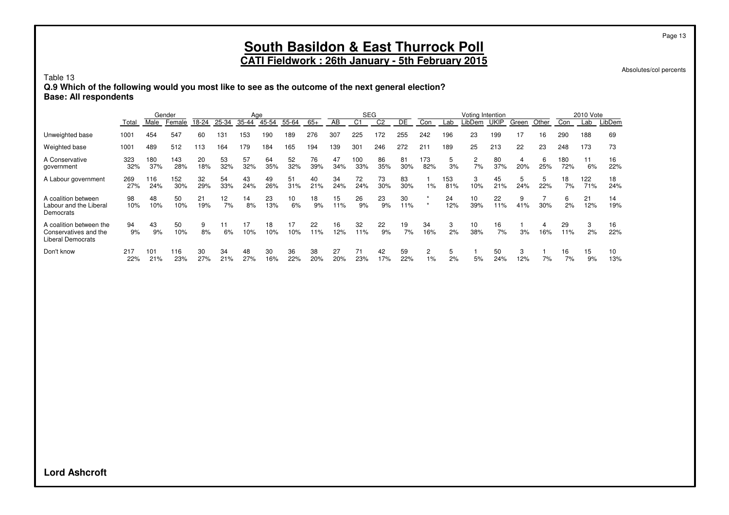**CATI Fieldwork : 26th January - 5th February 2015**

Absolutes/col percents

Page 13

#### Table 13

**Q.9 Which of the following would you most like to see as the outcome of the next general election? Base: All respondents**

|                                                                              | Gender     |            |            | Age       |           |           |           |           | <b>SEG</b> |           |            |                | Votina Intention |                         |            |                         |             | 2010 Vote |          |            |            |           |
|------------------------------------------------------------------------------|------------|------------|------------|-----------|-----------|-----------|-----------|-----------|------------|-----------|------------|----------------|------------------|-------------------------|------------|-------------------------|-------------|-----------|----------|------------|------------|-----------|
|                                                                              | Total      | Male       | Female     | 18-24     | 25-34     | 35-44     | 45-54     | 55-64     | $65+$      | AB        | C1         | C <sub>2</sub> | DE               | Con                     | Lab        | .ibDem                  | <b>UKIP</b> | Green     | Other    | Con        | Lab        | LibDem    |
| Unweighted base                                                              | 1001       | 454        | 547        | 60        | 131       | 153       | 190       | 189       | 276        | 307       | 225        | 172            | 255              | 242                     | 196        | 23                      | 199         | 17        | 16       | 290        | 188        | 69        |
| Weighted base                                                                | 1001       | 489        | 512        | 113       | 164       | 179       | 184       | 165       | 194        | 139       | 301        | 246            | 272              | 211                     | 189        | 25                      | 213         | 22        | 23       | 248        | 173        | 73        |
| A Conservative<br>government                                                 | 323<br>32% | 180<br>37% | 143<br>28% | 20<br>18% | 53<br>32% | 57<br>32% | 64<br>35% | 52<br>32% | 76<br>39%  | 47<br>34% | 100<br>33% | 86<br>35%      | 81<br>30%        | 173<br>82%              | 5<br>3%    | $\overline{2}$<br>7%    | 80<br>37%   | 4<br>20%  | 6<br>25% | 180<br>72% | 11<br>6%   | 16<br>22% |
| A Labour government                                                          | 269<br>27% | 116<br>24% | 152<br>30% | 32<br>29% | 54<br>33% | 43<br>24% | 49<br>26% | 51<br>31% | 40<br>21%  | 34<br>24% | 72<br>24%  | 73<br>30%      | 83<br>30%        | $1\%$                   | 153<br>81% | 3<br>10%                | 45<br>21%   | 5<br>24%  | 5<br>22% | 18<br>7%   | 122<br>71% | 18<br>24% |
| A coalition between<br>Labour and the Liberal<br>Democrats                   | 98<br>10%  | 48<br>10%  | 50<br>10%  | 21<br>19% | 12<br>7%  | 14<br>8%  | 23<br>13% | 10<br>6%  | 18<br>9%   | 15<br>11% | 26<br>9%   | 23<br>9%       | 30<br>11%        |                         | 24<br>12%  | 10 <sup>10</sup><br>39% | 22<br>11%   | 9<br>41%  | 30%      | 6<br>2%    | 21<br>12%  | 14<br>19% |
| A coalition between the<br>Conservatives and the<br><b>Liberal Democrats</b> | 94<br>9%   | 43<br>9%   | 50<br>10%  | 9<br>8%   | 6%        | 17<br>10% | 18<br>10% | 17<br>10% | 22<br>11%  | 16<br>12% | 32<br>11%  | 22<br>9%       | 19<br>7%         | 34<br>16%               | 3<br>2%    | 10<br>38%               | 16<br>7%    | 3%        | 4<br>16% | 29<br>11%  | 3<br>2%    | 16<br>22% |
| Don't know                                                                   | 217<br>22% | 101<br>21% | 116<br>23% | 30<br>27% | 34<br>21% | 48<br>27% | 30<br>16% | 36<br>22% | 38<br>20%  | 27<br>20% | 71<br>23%  | 42<br>17%      | 59<br>22%        | $\overline{2}$<br>$1\%$ | 5<br>2%    | 5%                      | 50<br>24%   | 3<br>12%  | 7%       | 16<br>7%   | 15<br>9%   | 10<br>13% |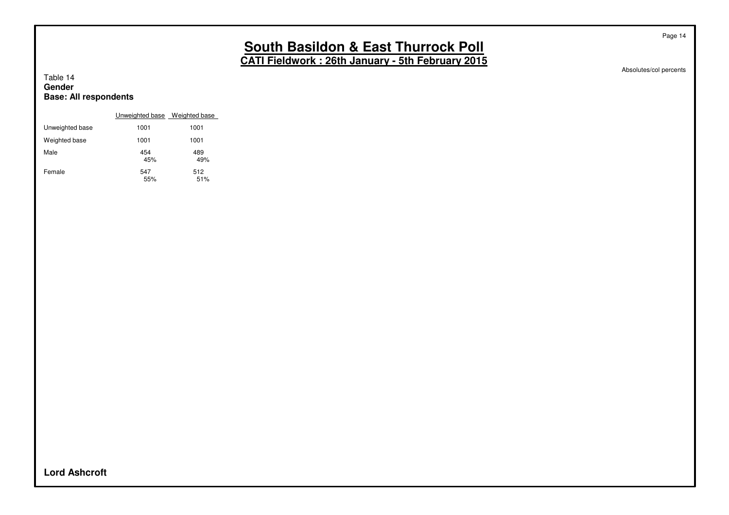Absolutes/col percents

Page 14

#### Table 14 **Gender Base: All respondents**

|                 | Unweighted base Weighted base |            |
|-----------------|-------------------------------|------------|
| Unweighted base | 1001                          | 1001       |
| Weighted base   | 1001                          | 1001       |
| Male            | 454<br>45%                    | 489<br>49% |
| Female          | 547<br>55%                    | 512<br>51% |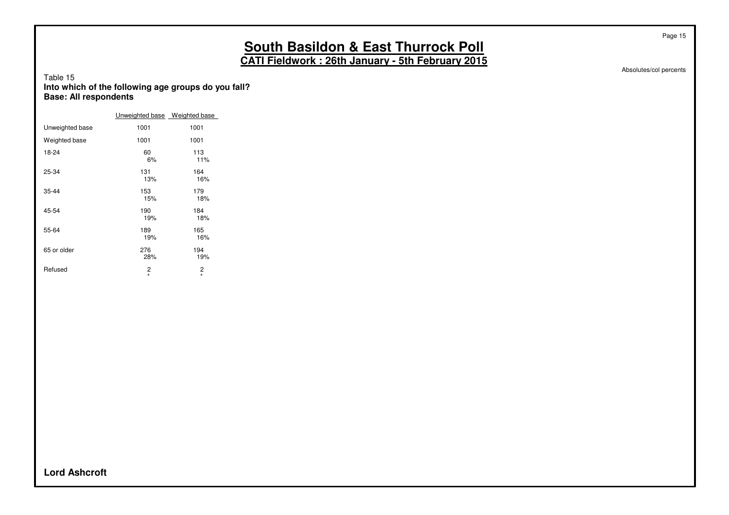Absolutes/col percents

Page 15

#### Table 15 **Into which of the following age groups do you fall? Base: All respondents**

|                 | Unweighted base Weighted base |              |
|-----------------|-------------------------------|--------------|
| Unweighted base | 1001                          | 1001         |
| Weighted base   | 1001                          | 1001         |
| 18-24           | 60<br>6%                      | 113<br>11%   |
| 25-34           | 131<br>13%                    | 164<br>16%   |
| $35 - 44$       | 153<br>15%                    | 179<br>18%   |
| 45-54           | 190<br>19%                    | 184<br>18%   |
| 55-64           | 189<br>19%                    | 165<br>16%   |
| 65 or older     | 276<br>28%                    | 194<br>19%   |
| Refused         | 2<br>$\star$                  | 2<br>$\star$ |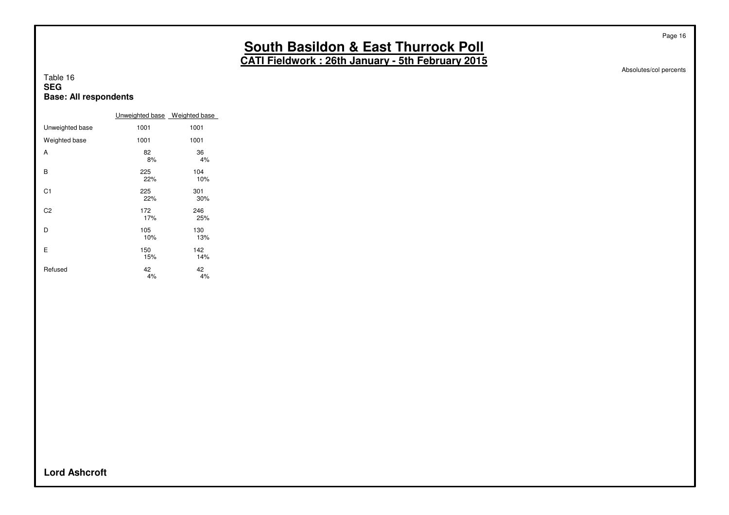Absolutes/col percents

Page 16

#### Table 16 **SEG Base: All respondents**

|                 | Unweighted base Weighted base |            |
|-----------------|-------------------------------|------------|
| Unweighted base | 1001                          | 1001       |
| Weighted base   | 1001                          | 1001       |
| A               | 82<br>8%                      | 36<br>4%   |
| B               | 225<br>22%                    | 104<br>10% |
| C <sub>1</sub>  | 225<br>22%                    | 301<br>30% |
| C <sub>2</sub>  | 172<br>17%                    | 246<br>25% |
| D               | 105<br>10%                    | 130<br>13% |
| E               | 150<br>15%                    | 142<br>14% |
| Refused         | 42<br>4%                      | 42<br>4%   |